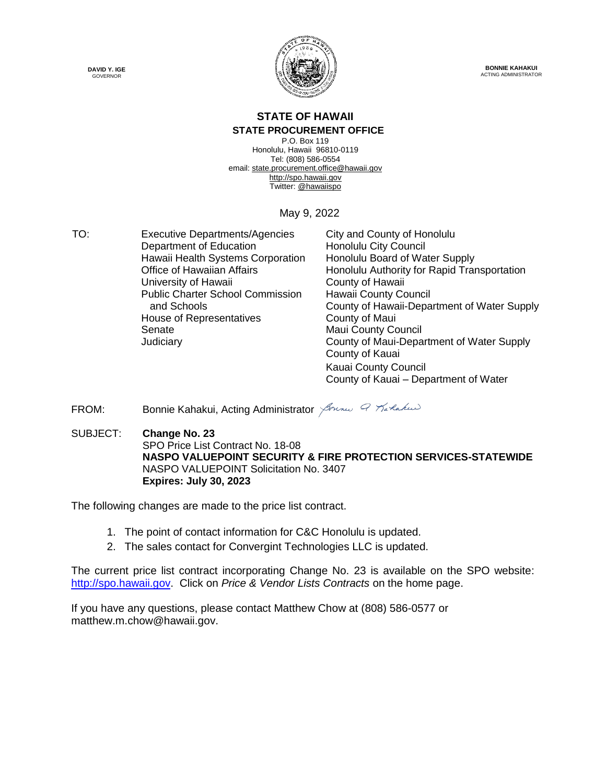



**BONNIE KAHAKUI** ACTING ADMINISTRATOR

# **STATE OF HAWAII**

#### **STATE PROCUREMENT OFFICE**

P.O. Box 119 Honolulu, Hawaii 96810-0119 Tel: (808) 586-0554 email[: state.procurement.office@hawaii.gov](mailto:state.procurement.office@hawaii.gov) [http://spo.hawaii.gov](http://spo.hawaii.gov/) Twitter: [@hawaiispo](https://twitter.com/hawaiispo)

#### May 9, 2022

TO: Executive Departments/Agencies City and County of Honolulu Department of Education Honolulu City Council Hawaii Health Systems Corporation Honolulu Board of Water Supply University of Hawaii **County of Hawaii** Public Charter School Commission and Schools House of Representatives **County of Maui** Senate **Maui County Council** Maui County Council

Office of Hawaiian Affairs **Honolulu Authority for Rapid Transportation** Hawaii County Council County of Hawaii-Department of Water Supply Judiciary County of Maui-Department of Water Supply County of Kauai Kauai County Council County of Kauai – Department of Water

FROM: Bonnie Kahakui, Acting Administrator Sound Q Marlakus

SUBJECT: **Change No. 23** SPO Price List Contract No. 18-08 **NASPO VALUEPOINT SECURITY & FIRE PROTECTION SERVICES-STATEWIDE** NASPO VALUEPOINT Solicitation No. 3407 **Expires: July 30, 2023**

The following changes are made to the price list contract.

- 1. The point of contact information for C&C Honolulu is updated.
- 2. The sales contact for Convergint Technologies LLC is updated.

The current price list contract incorporating Change No. 23 is available on the SPO website: [http://spo.hawaii.gov.](http://spo.hawaii.gov/) Click on *Price & Vendor Lists Contracts* on the home page.

If you have any questions, please contact Matthew Chow at (808) 586-0577 or matthew.m.chow@hawaii.gov.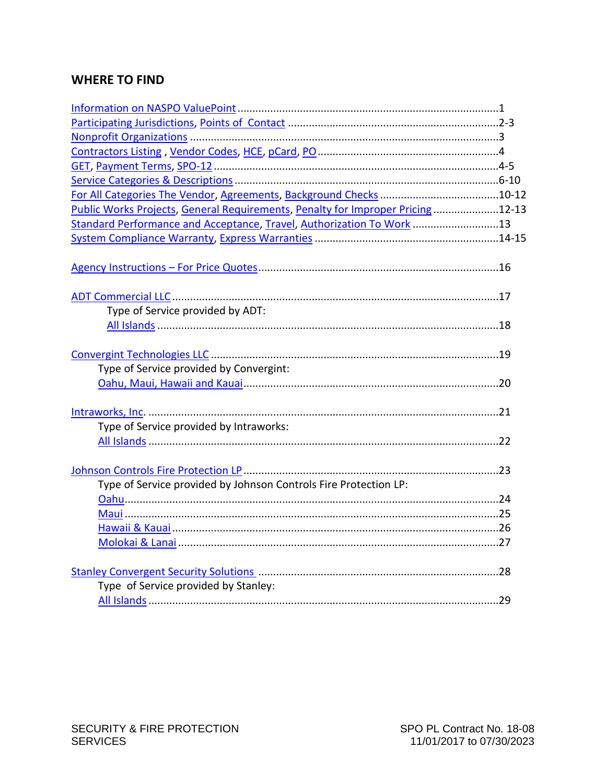# **WHERE TO FIND**

| Public Works Projects, General Requirements, Penalty for Improper Pricing12-13 |  |
|--------------------------------------------------------------------------------|--|
| Standard Performance and Acceptance, Travel, Authorization To Work 13          |  |
|                                                                                |  |
|                                                                                |  |
| Type of Service provided by ADT:                                               |  |
|                                                                                |  |
|                                                                                |  |
| Type of Service provided by Convergint:                                        |  |
|                                                                                |  |
| Type of Service provided by Intraworks:                                        |  |
|                                                                                |  |
| Type of Service provided by Johnson Controls Fire Protection LP:               |  |
|                                                                                |  |
|                                                                                |  |
|                                                                                |  |
|                                                                                |  |
|                                                                                |  |
| Type of Service provided by Stanley:                                           |  |
|                                                                                |  |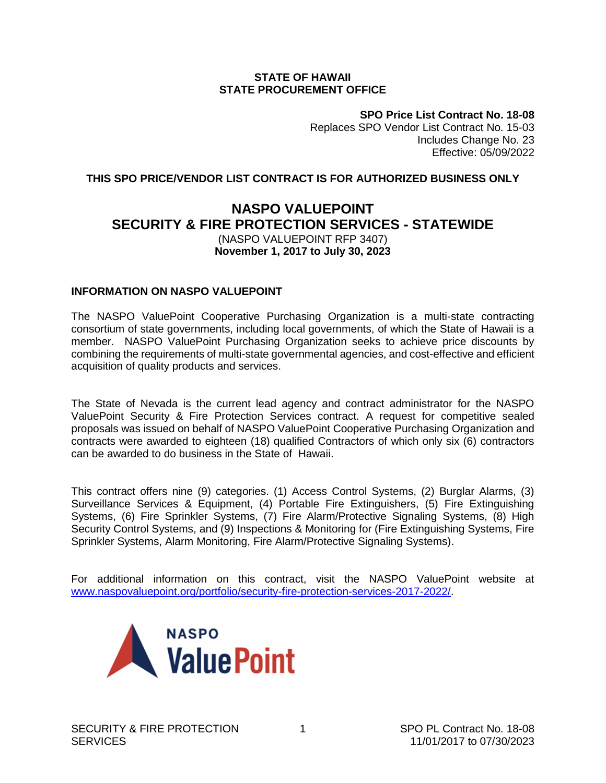#### **STATE OF HAWAII STATE PROCUREMENT OFFICE**

**SPO Price List Contract No. 18-08** Replaces SPO Vendor List Contract No. 15-03 Includes Change No. 23 Effective: 05/09/2022

### <span id="page-2-0"></span>**THIS SPO PRICE/VENDOR LIST CONTRACT IS FOR AUTHORIZED BUSINESS ONLY**

# **NASPO VALUEPOINT SECURITY & FIRE PROTECTION SERVICES - STATEWIDE**  (NASPO VALUEPOINT RFP 3407) **November 1, 2017 to July 30, 2023**

#### **INFORMATION ON NASPO VALUEPOINT**

The NASPO ValuePoint Cooperative Purchasing Organization is a multi-state contracting consortium of state governments, including local governments, of which the State of Hawaii is a member. NASPO ValuePoint Purchasing Organization seeks to achieve price discounts by combining the requirements of multi-state governmental agencies, and cost-effective and efficient acquisition of quality products and services.

The State of Nevada is the current lead agency and contract administrator for the NASPO ValuePoint Security & Fire Protection Services contract. A request for competitive sealed proposals was issued on behalf of NASPO ValuePoint Cooperative Purchasing Organization and contracts were awarded to eighteen (18) qualified Contractors of which only six (6) contractors can be awarded to do business in the State of Hawaii.

This contract offers nine (9) categories. (1) Access Control Systems, (2) Burglar Alarms, (3) Surveillance Services & Equipment, (4) Portable Fire Extinguishers, (5) Fire Extinguishing Systems, (6) Fire Sprinkler Systems, (7) Fire Alarm/Protective Signaling Systems, (8) High Security Control Systems, and (9) Inspections & Monitoring for (Fire Extinguishing Systems, Fire Sprinkler Systems, Alarm Monitoring, Fire Alarm/Protective Signaling Systems).

For additional information on this contract, visit the NASPO ValuePoint website at [www.naspovaluepoint.org/portfolio/security-fire-protection-services-2017-2022/.](http://www.naspovaluepoint.org/portfolio/security-fire-protection-services-2017-2022/)

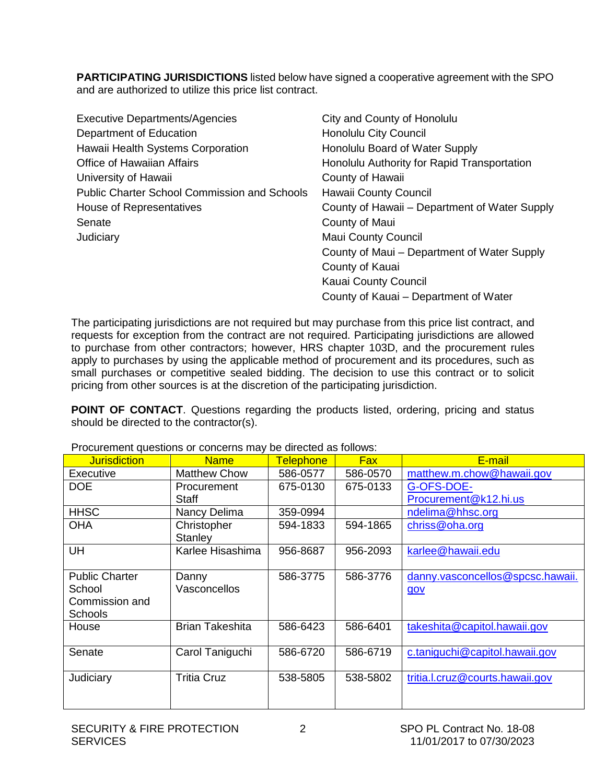<span id="page-3-0"></span>**PARTICIPATING JURISDICTIONS** listed below have signed a cooperative agreement with the SPO and are authorized to utilize this price list contract.

| <b>Executive Departments/Agencies</b>               | City and County of Honolulu                   |
|-----------------------------------------------------|-----------------------------------------------|
| Department of Education                             | Honolulu City Council                         |
| Hawaii Health Systems Corporation                   | Honolulu Board of Water Supply                |
| <b>Office of Hawaiian Affairs</b>                   | Honolulu Authority for Rapid Transportation   |
| University of Hawaii                                | County of Hawaii                              |
| <b>Public Charter School Commission and Schools</b> | Hawaii County Council                         |
| House of Representatives                            | County of Hawaii – Department of Water Supply |
| Senate                                              | County of Maui                                |
| Judiciary                                           | <b>Maui County Council</b>                    |
|                                                     | County of Maui - Department of Water Supply   |
|                                                     | County of Kauai                               |
|                                                     | Kauai County Council                          |
|                                                     | County of Kauai – Department of Water         |

The participating jurisdictions are not required but may purchase from this price list contract, and requests for exception from the contract are not required. Participating jurisdictions are allowed to purchase from other contractors; however, HRS chapter 103D, and the procurement rules apply to purchases by using the applicable method of procurement and its procedures, such as small purchases or competitive sealed bidding. The decision to use this contract or to solicit pricing from other sources is at the discretion of the participating jurisdiction.

**POINT OF CONTACT**. Questions regarding the products listed, ordering, pricing and status should be directed to the contractor(s).

| <b>Jurisdiction</b>   | <b>Name</b>            | <b>Telephone</b> | <b>Fax</b> | E-mail                           |
|-----------------------|------------------------|------------------|------------|----------------------------------|
| Executive             | <b>Matthew Chow</b>    | 586-0577         | 586-0570   | matthew.m.chow@hawaii.gov        |
| <b>DOE</b>            | Procurement            | 675-0130         | 675-0133   | G-OFS-DOE-                       |
|                       | Staff                  |                  |            | Procurement@k12.hi.us            |
| <b>HHSC</b>           | Nancy Delima           | 359-0994         |            | ndelima@hhsc.org                 |
| <b>OHA</b>            | Christopher            | 594-1833         | 594-1865   | chriss@oha.org                   |
|                       | Stanley                |                  |            |                                  |
| <b>UH</b>             | Karlee Hisashima       | 956-8687         | 956-2093   | karlee@hawaii.edu                |
|                       |                        |                  |            |                                  |
| <b>Public Charter</b> | Danny                  | 586-3775         | 586-3776   | danny.vasconcellos@spcsc.hawaii. |
| School                | Vasconcellos           |                  |            | gov                              |
| Commission and        |                        |                  |            |                                  |
| Schools               |                        |                  |            |                                  |
| House                 | <b>Brian Takeshita</b> | 586-6423         | 586-6401   | takeshita@capitol.hawaii.gov     |
|                       |                        |                  |            |                                  |
| Senate                | Carol Taniguchi        | 586-6720         | 586-6719   | c.taniquchi@capitol.hawaii.gov   |
|                       |                        |                  |            |                                  |
| Judiciary             | Tritia Cruz            | 538-5805         | 538-5802   | tritia.l.cruz@courts.hawaii.gov  |
|                       |                        |                  |            |                                  |
|                       |                        |                  |            |                                  |

Procurement questions or concerns may be directed as follows: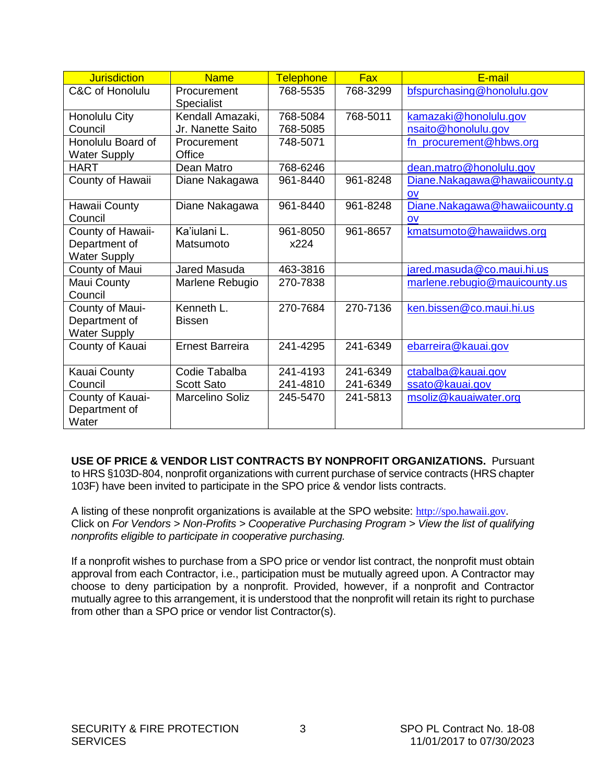<span id="page-4-0"></span>

| <b>Jurisdiction</b> | <b>Name</b>                      | <b>Telephone</b> | <b>Fax</b> | E-mail                        |
|---------------------|----------------------------------|------------------|------------|-------------------------------|
| C&C of Honolulu     | Procurement<br><b>Specialist</b> | 768-5535         | 768-3299   | bfspurchasing@honolulu.gov    |
| Honolulu City       | Kendall Amazaki,                 | 768-5084         | 768-5011   | kamazaki@honolulu.gov         |
| Council             | Jr. Nanette Saito                | 768-5085         |            | nsaito@honolulu.gov           |
| Honolulu Board of   | Procurement                      | 748-5071         |            | fn_procurement@hbws.org       |
| <b>Water Supply</b> | Office                           |                  |            |                               |
| <b>HART</b>         | Dean Matro                       | 768-6246         |            | dean.matro@honolulu.gov       |
| County of Hawaii    | Diane Nakagawa                   | 961-8440         | 961-8248   | Diane.Nakagawa@hawaiicounty.g |
|                     |                                  |                  |            | OV                            |
| Hawaii County       | Diane Nakagawa                   | 961-8440         | 961-8248   | Diane.Nakagawa@hawaiicounty.g |
| Council             |                                  |                  |            | <b>OV</b>                     |
| County of Hawaii-   | Ka'iulani L.                     | 961-8050         | 961-8657   | kmatsumoto@hawaiidws.org      |
| Department of       | Matsumoto                        | x224             |            |                               |
| <b>Water Supply</b> |                                  |                  |            |                               |
| County of Maui      | Jared Masuda                     | 463-3816         |            | jared.masuda@co.maui.hi.us    |
| Maui County         | Marlene Rebugio                  | 270-7838         |            | marlene.rebugio@mauicounty.us |
| Council             |                                  |                  |            |                               |
| County of Maui-     | Kenneth L.                       | 270-7684         | 270-7136   | ken.bissen@co.maui.hi.us      |
| Department of       | <b>Bissen</b>                    |                  |            |                               |
| <b>Water Supply</b> |                                  |                  |            |                               |
| County of Kauai     | <b>Ernest Barreira</b>           | 241-4295         | 241-6349   | ebarreira@kauai.gov           |
|                     |                                  |                  |            |                               |
| Kauai County        | Codie Tabalba                    | 241-4193         | 241-6349   | ctabalba@kauai.gov            |
| Council             | <b>Scott Sato</b>                | 241-4810         | 241-6349   | ssato@kauai.gov               |
| County of Kauai-    | <b>Marcelino Soliz</b>           | 245-5470         | 241-5813   | msoliz@kauaiwater.org         |
| Department of       |                                  |                  |            |                               |
| Water               |                                  |                  |            |                               |

**USE OF PRICE & VENDOR LIST CONTRACTS BY NONPROFIT ORGANIZATIONS.** Pursuant to HRS §103D-804, nonprofit organizations with current purchase of service contracts (HRS chapter 103F) have been invited to participate in the SPO price & vendor lists contracts.

A listing of these nonprofit organizations is available at the SPO website: [http://spo.hawaii.gov](http://spo.hawaii.gov/). Click on *For Vendors > Non-Profits > Cooperative Purchasing Program > View the list of qualifying nonprofits eligible to participate in cooperative purchasing.*

If a nonprofit wishes to purchase from a SPO price or vendor list contract, the nonprofit must obtain approval from each Contractor, i.e., participation must be mutually agreed upon. A Contractor may choose to deny participation by a nonprofit. Provided, however, if a nonprofit and Contractor mutually agree to this arrangement, it is understood that the nonprofit will retain its right to purchase from other than a SPO price or vendor list Contractor(s).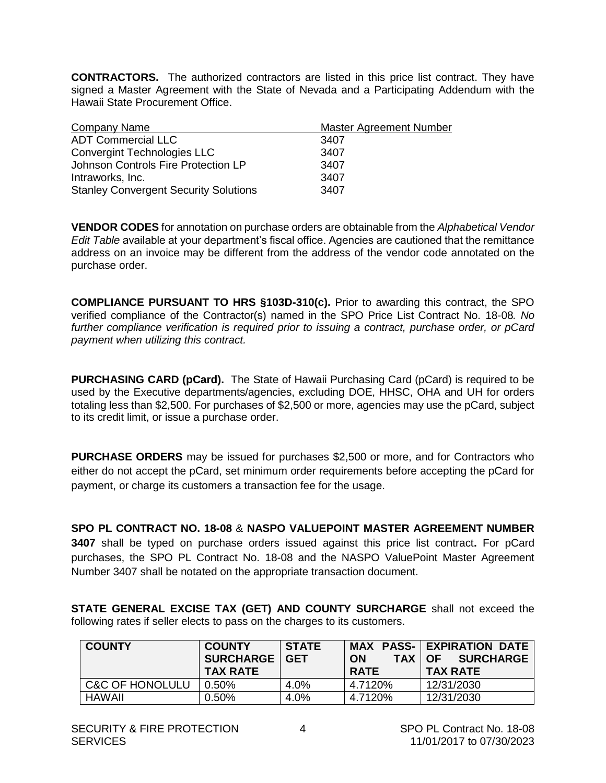<span id="page-5-0"></span>**CONTRACTORS.** The authorized contractors are listed in this price list contract. They have signed a Master Agreement with the State of Nevada and a Participating Addendum with the Hawaii State Procurement Office.

| Company Name                                 | Master Agreement Number |
|----------------------------------------------|-------------------------|
| <b>ADT Commercial LLC</b>                    | 3407                    |
| <b>Convergint Technologies LLC</b>           | 3407                    |
| Johnson Controls Fire Protection LP          | 3407                    |
| Intraworks, Inc.                             | 3407                    |
| <b>Stanley Convergent Security Solutions</b> | 3407                    |

**VENDOR CODES** for annotation on purchase orders are obtainable from the *Alphabetical Vendor Edit Table* available at your department's fiscal office. Agencies are cautioned that the remittance address on an invoice may be different from the address of the vendor code annotated on the purchase order.

**COMPLIANCE PURSUANT TO HRS §103D-310(c).** Prior to awarding this contract, the SPO verified compliance of the Contractor(s) named in the SPO Price List Contract No. 18-08*. No further compliance verification is required prior to issuing a contract, purchase order, or pCard payment when utilizing this contract.*

**PURCHASING CARD (pCard).** The State of Hawaii Purchasing Card (pCard) is required to be used by the Executive departments/agencies, excluding DOE, HHSC, OHA and UH for orders totaling less than \$2,500. For purchases of \$2,500 or more, agencies may use the pCard, subject to its credit limit, or issue a purchase order.

**PURCHASE ORDERS** may be issued for purchases \$2,500 or more, and for Contractors who either do not accept the pCard, set minimum order requirements before accepting the pCard for payment, or charge its customers a transaction fee for the usage.

**SPO PL CONTRACT NO. 18-08** & **NASPO VALUEPOINT MASTER AGREEMENT NUMBER 3407** shall be typed on purchase orders issued against this price list contract**.** For pCard purchases, the SPO PL Contract No. 18-08 and the NASPO ValuePoint Master Agreement Number 3407 shall be notated on the appropriate transaction document.

**STATE GENERAL EXCISE TAX (GET) AND COUNTY SURCHARGE** shall not exceed the following rates if seller elects to pass on the charges to its customers.

| <b>COUNTY</b>   | <b>COUNTY</b><br><b>SURCHARGE   GET</b><br><b>TAX RATE</b> | <b>STATE</b> | <b>ON</b><br>TAX I<br><b>RATE</b> | <b>MAX PASS- EXPIRATION DATE</b><br><b>SURCHARGE</b><br>OF<br><b>TAX RATE</b> |
|-----------------|------------------------------------------------------------|--------------|-----------------------------------|-------------------------------------------------------------------------------|
| C&C OF HONOLULU | $0.50\%$                                                   | 4.0%         | 4.7120%                           | 12/31/2030                                                                    |
| <b>HAWAII</b>   | $0.50\%$                                                   | 4.0%         | 4.7120%                           | 12/31/2030                                                                    |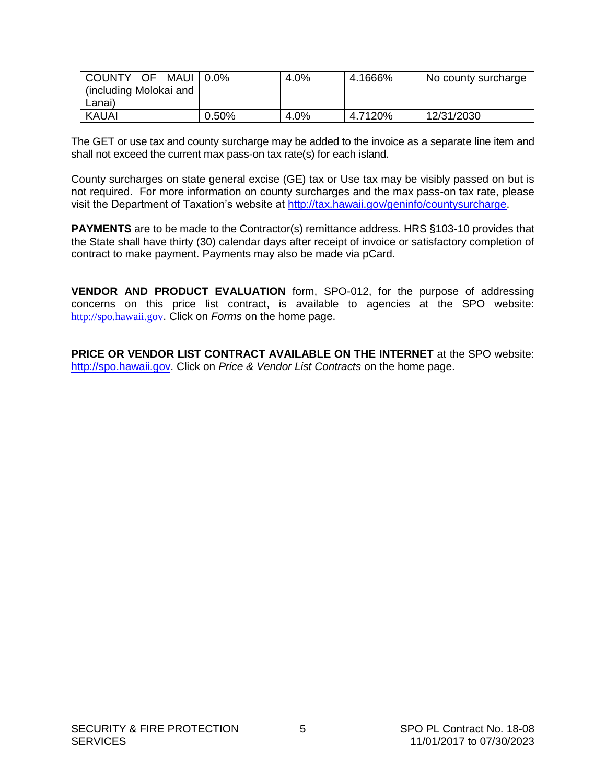<span id="page-6-0"></span>

| COUNTY OF<br>MAUI      | $0.0\%$ | 4.0% | 4.1666% | No county surcharge |
|------------------------|---------|------|---------|---------------------|
| including Molokai and) |         |      |         |                     |
| Lanai)                 |         |      |         |                     |
| KAUAI                  | 0.50%   | 4.0% | 4.7120% | 12/31/2030          |

The GET or use tax and county surcharge may be added to the invoice as a separate line item and shall not exceed the current max pass-on tax rate(s) for each island.

County surcharges on state general excise (GE) tax or Use tax may be visibly passed on but is not required. For more information on county surcharges and the max pass-on tax rate, please visit the Department of Taxation's website at [http://tax.hawaii.gov/geninfo/countysurcharge.](http://tax.hawaii.gov/geninfo/countysurcharge)

**PAYMENTS** are to be made to the Contractor(s) remittance address. HRS §103-10 provides that the State shall have thirty (30) calendar days after receipt of invoice or satisfactory completion of contract to make payment. Payments may also be made via pCard.

**VENDOR AND PRODUCT EVALUATION** form, SPO-012, for the purpose of addressing concerns on this price list contract, is available to agencies at the SPO website: [http://spo.hawaii.gov](http://spo.hawaii.gov/). Click on *Forms* on the home page.

**PRICE OR VENDOR LIST CONTRACT AVAILABLE ON THE INTERNET** at the SPO website: [http://spo.hawaii.gov.](http://spo.hawaii.gov/) Click on *Price & Vendor List Contracts* on the home page.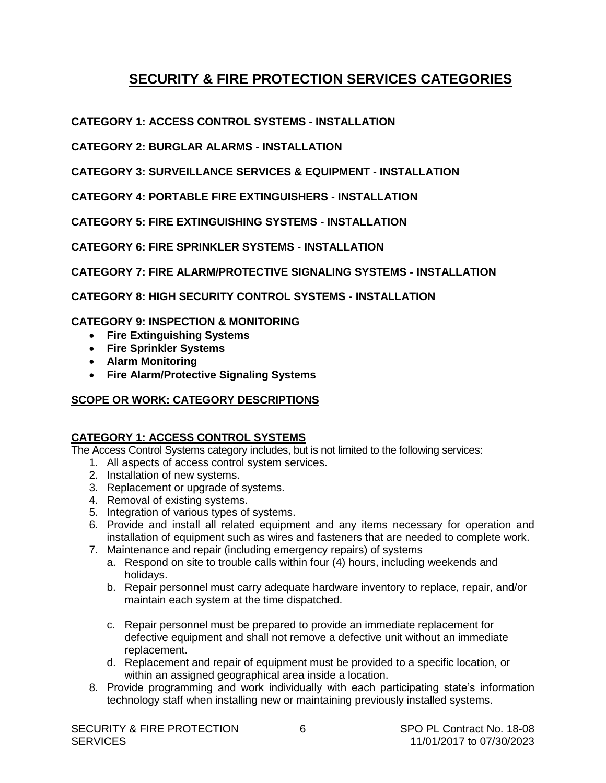# **SECURITY & FIRE PROTECTION SERVICES CATEGORIES**

<span id="page-7-0"></span>**CATEGORY 1: ACCESS CONTROL SYSTEMS - INSTALLATION**

**CATEGORY 2: BURGLAR ALARMS - INSTALLATION**

**CATEGORY 3: SURVEILLANCE SERVICES & EQUIPMENT - INSTALLATION**

**CATEGORY 4: PORTABLE FIRE EXTINGUISHERS - INSTALLATION**

**CATEGORY 5: FIRE EXTINGUISHING SYSTEMS - INSTALLATION**

**CATEGORY 6: FIRE SPRINKLER SYSTEMS - INSTALLATION**

**CATEGORY 7: FIRE ALARM/PROTECTIVE SIGNALING SYSTEMS - INSTALLATION**

**CATEGORY 8: HIGH SECURITY CONTROL SYSTEMS - INSTALLATION**

**CATEGORY 9: INSPECTION & MONITORING**

- **Fire Extinguishing Systems**
- **Fire Sprinkler Systems**
- **Alarm Monitoring**
- **Fire Alarm/Protective Signaling Systems**

# **SCOPE OR WORK: CATEGORY DESCRIPTIONS**

# **CATEGORY 1: ACCESS CONTROL SYSTEMS**

The Access Control Systems category includes, but is not limited to the following services:

- 1. All aspects of access control system services.
- 2. Installation of new systems.
- 3. Replacement or upgrade of systems.
- 4. Removal of existing systems.
- 5. Integration of various types of systems.
- 6. Provide and install all related equipment and any items necessary for operation and installation of equipment such as wires and fasteners that are needed to complete work.
- 7. Maintenance and repair (including emergency repairs) of systems
	- a. Respond on site to trouble calls within four (4) hours, including weekends and holidays.
	- b. Repair personnel must carry adequate hardware inventory to replace, repair, and/or maintain each system at the time dispatched.
	- c. Repair personnel must be prepared to provide an immediate replacement for defective equipment and shall not remove a defective unit without an immediate replacement.
	- d. Replacement and repair of equipment must be provided to a specific location, or within an assigned geographical area inside a location.
- 8. Provide programming and work individually with each participating state's information technology staff when installing new or maintaining previously installed systems.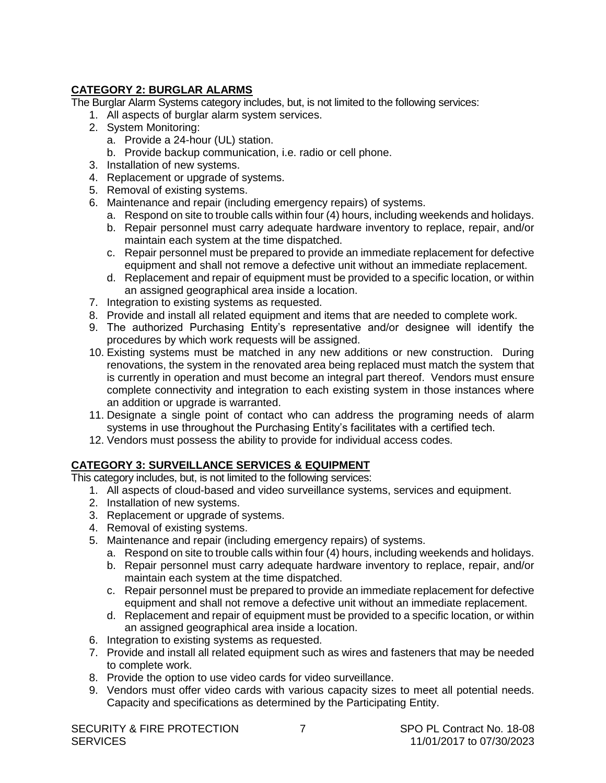# **CATEGORY 2: BURGLAR ALARMS**

The Burglar Alarm Systems category includes, but, is not limited to the following services:

- 1. All aspects of burglar alarm system services.
- 2. System Monitoring:
	- a. Provide a 24-hour (UL) station.
	- b. Provide backup communication, i.e. radio or cell phone.
- 3. Installation of new systems.
- 4. Replacement or upgrade of systems.
- 5. Removal of existing systems.
- 6. Maintenance and repair (including emergency repairs) of systems.
	- a. Respond on site to trouble calls within four (4) hours, including weekends and holidays.
	- b. Repair personnel must carry adequate hardware inventory to replace, repair, and/or maintain each system at the time dispatched.
	- c. Repair personnel must be prepared to provide an immediate replacement for defective equipment and shall not remove a defective unit without an immediate replacement.
	- d. Replacement and repair of equipment must be provided to a specific location, or within an assigned geographical area inside a location.
- 7. Integration to existing systems as requested.
- 8. Provide and install all related equipment and items that are needed to complete work.
- 9. The authorized Purchasing Entity's representative and/or designee will identify the procedures by which work requests will be assigned.
- 10. Existing systems must be matched in any new additions or new construction. During renovations, the system in the renovated area being replaced must match the system that is currently in operation and must become an integral part thereof. Vendors must ensure complete connectivity and integration to each existing system in those instances where an addition or upgrade is warranted.
- 11. Designate a single point of contact who can address the programing needs of alarm systems in use throughout the Purchasing Entity's facilitates with a certified tech.
- 12. Vendors must possess the ability to provide for individual access codes.

# **CATEGORY 3: SURVEILLANCE SERVICES & EQUIPMENT**

This category includes, but, is not limited to the following services:

- 1. All aspects of cloud-based and video surveillance systems, services and equipment.
- 2. Installation of new systems.
- 3. Replacement or upgrade of systems.
- 4. Removal of existing systems.
- 5. Maintenance and repair (including emergency repairs) of systems.
	- a. Respond on site to trouble calls within four (4) hours, including weekends and holidays.
	- b. Repair personnel must carry adequate hardware inventory to replace, repair, and/or maintain each system at the time dispatched.
	- c. Repair personnel must be prepared to provide an immediate replacement for defective equipment and shall not remove a defective unit without an immediate replacement.
	- d. Replacement and repair of equipment must be provided to a specific location, or within an assigned geographical area inside a location.
- 6. Integration to existing systems as requested.
- 7. Provide and install all related equipment such as wires and fasteners that may be needed to complete work.
- 8. Provide the option to use video cards for video surveillance.
- 9. Vendors must offer video cards with various capacity sizes to meet all potential needs. Capacity and specifications as determined by the Participating Entity.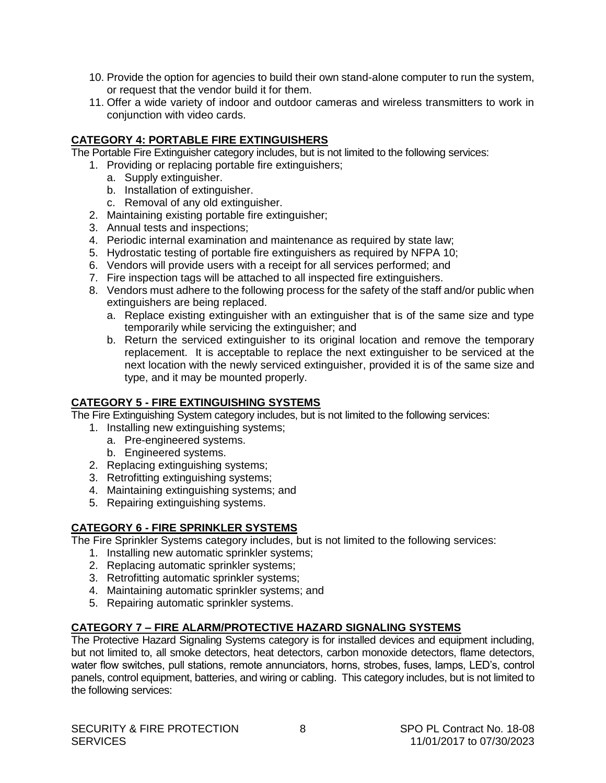- 10. Provide the option for agencies to build their own stand-alone computer to run the system, or request that the vendor build it for them.
- 11. Offer a wide variety of indoor and outdoor cameras and wireless transmitters to work in conjunction with video cards.

# **CATEGORY 4: PORTABLE FIRE EXTINGUISHERS**

The Portable Fire Extinguisher category includes, but is not limited to the following services:

- 1. Providing or replacing portable fire extinguishers;
	- a. Supply extinguisher.
	- b. Installation of extinguisher.
	- c. Removal of any old extinguisher.
- 2. Maintaining existing portable fire extinguisher;
- 3. Annual tests and inspections;
- 4. Periodic internal examination and maintenance as required by state law;
- 5. Hydrostatic testing of portable fire extinguishers as required by NFPA 10;
- 6. Vendors will provide users with a receipt for all services performed; and
- 7. Fire inspection tags will be attached to all inspected fire extinguishers.
- 8. Vendors must adhere to the following process for the safety of the staff and/or public when extinguishers are being replaced.
	- a. Replace existing extinguisher with an extinguisher that is of the same size and type temporarily while servicing the extinguisher; and
	- b. Return the serviced extinguisher to its original location and remove the temporary replacement. It is acceptable to replace the next extinguisher to be serviced at the next location with the newly serviced extinguisher, provided it is of the same size and type, and it may be mounted properly.

# **CATEGORY 5 - FIRE EXTINGUISHING SYSTEMS**

The Fire Extinguishing System category includes, but is not limited to the following services:

- 1. Installing new extinguishing systems;
	- a. Pre-engineered systems.
	- b. Engineered systems.
- 2. Replacing extinguishing systems;
- 3. Retrofitting extinguishing systems;
- 4. Maintaining extinguishing systems; and
- 5. Repairing extinguishing systems.

# **CATEGORY 6 - FIRE SPRINKLER SYSTEMS**

The Fire Sprinkler Systems category includes, but is not limited to the following services:

- 1. Installing new automatic sprinkler systems;
- 2. Replacing automatic sprinkler systems;
- 3. Retrofitting automatic sprinkler systems;
- 4. Maintaining automatic sprinkler systems; and
- 5. Repairing automatic sprinkler systems.

# **CATEGORY 7 – FIRE ALARM/PROTECTIVE HAZARD SIGNALING SYSTEMS**

The Protective Hazard Signaling Systems category is for installed devices and equipment including, but not limited to, all smoke detectors, heat detectors, carbon monoxide detectors, flame detectors, water flow switches, pull stations, remote annunciators, horns, strobes, fuses, lamps, LED's, control panels, control equipment, batteries, and wiring or cabling. This category includes, but is not limited to the following services: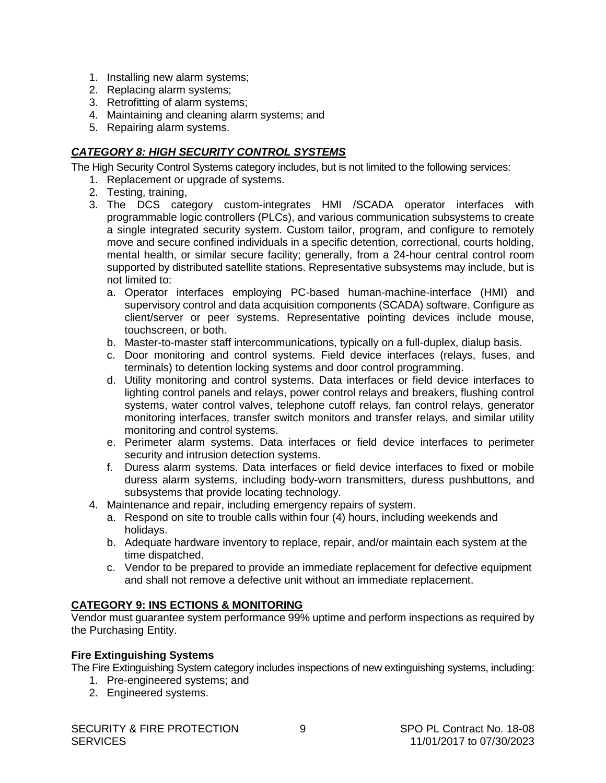- 1. Installing new alarm systems;
- 2. Replacing alarm systems;
- 3. Retrofitting of alarm systems;
- 4. Maintaining and cleaning alarm systems; and
- 5. Repairing alarm systems.

# *CATEGORY 8: HIGH SECURITY CONTROL SYSTEMS*

The High Security Control Systems category includes, but is not limited to the following services:

- 1. Replacement or upgrade of systems.
- 2. Testing, training,
- 3. The DCS category custom-integrates HMI /SCADA operator interfaces with programmable logic controllers (PLCs), and various communication subsystems to create a single integrated security system. Custom tailor, program, and configure to remotely move and secure confined individuals in a specific detention, correctional, courts holding, mental health, or similar secure facility; generally, from a 24-hour central control room supported by distributed satellite stations. Representative subsystems may include, but is not limited to:
	- a. Operator interfaces employing PC-based human-machine-interface (HMI) and supervisory control and data acquisition components (SCADA) software. Configure as client/server or peer systems. Representative pointing devices include mouse, touchscreen, or both.
	- b. Master-to-master staff intercommunications, typically on a full-duplex, dialup basis.
	- c. Door monitoring and control systems. Field device interfaces (relays, fuses, and terminals) to detention locking systems and door control programming.
	- d. Utility monitoring and control systems. Data interfaces or field device interfaces to lighting control panels and relays, power control relays and breakers, flushing control systems, water control valves, telephone cutoff relays, fan control relays, generator monitoring interfaces, transfer switch monitors and transfer relays, and similar utility monitoring and control systems.
	- e. Perimeter alarm systems. Data interfaces or field device interfaces to perimeter security and intrusion detection systems.
	- f. Duress alarm systems. Data interfaces or field device interfaces to fixed or mobile duress alarm systems, including body-worn transmitters, duress pushbuttons, and subsystems that provide locating technology.
- 4. Maintenance and repair, including emergency repairs of system.
	- a. Respond on site to trouble calls within four (4) hours, including weekends and holidays.
	- b. Adequate hardware inventory to replace, repair, and/or maintain each system at the time dispatched.
	- c. Vendor to be prepared to provide an immediate replacement for defective equipment and shall not remove a defective unit without an immediate replacement.

# **CATEGORY 9: INS ECTIONS & MONITORING**

Vendor must guarantee system performance 99% uptime and perform inspections as required by the Purchasing Entity.

# **Fire Extinguishing Systems**

The Fire Extinguishing System category includes inspections of new extinguishing systems, including:

- 1. Pre-engineered systems; and
- 2. Engineered systems.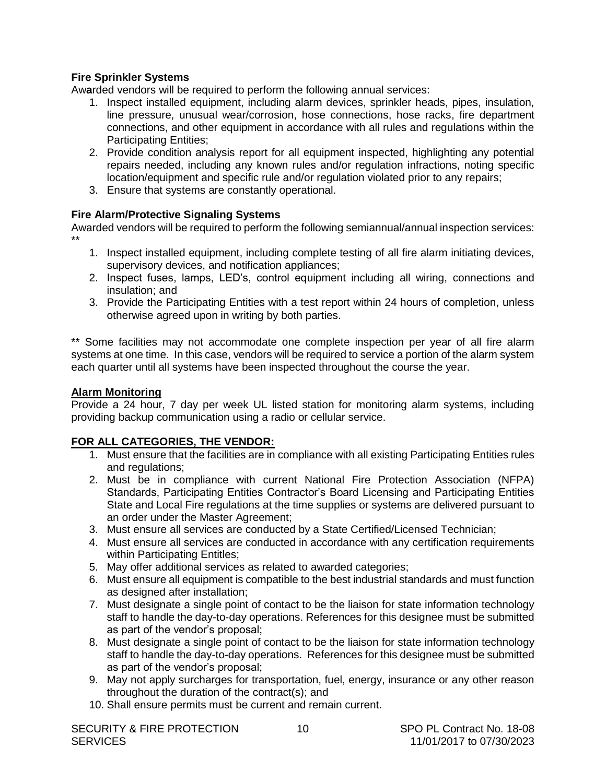# <span id="page-11-0"></span>**Fire Sprinkler Systems**

Aw**a**rded vendors will be required to perform the following annual services:

- 1. Inspect installed equipment, including alarm devices, sprinkler heads, pipes, insulation, line pressure, unusual wear/corrosion, hose connections, hose racks, fire department connections, and other equipment in accordance with all rules and regulations within the Participating Entities;
- 2. Provide condition analysis report for all equipment inspected, highlighting any potential repairs needed, including any known rules and/or regulation infractions, noting specific location/equipment and specific rule and/or regulation violated prior to any repairs;
- 3. Ensure that systems are constantly operational.

# **Fire Alarm/Protective Signaling Systems**

Awarded vendors will be required to perform the following semiannual/annual inspection services: \*\*

- 1. Inspect installed equipment, including complete testing of all fire alarm initiating devices, supervisory devices, and notification appliances;
- 2. Inspect fuses, lamps, LED's, control equipment including all wiring, connections and insulation; and
- 3. Provide the Participating Entities with a test report within 24 hours of completion, unless otherwise agreed upon in writing by both parties.

\*\* Some facilities may not accommodate one complete inspection per year of all fire alarm systems at one time. In this case, vendors will be required to service a portion of the alarm system each quarter until all systems have been inspected throughout the course the year.

### **Alarm Monitoring**

Provide a 24 hour, 7 day per week UL listed station for monitoring alarm systems, including providing backup communication using a radio or cellular service.

# **FOR ALL CATEGORIES, THE VENDOR:**

- 1. Must ensure that the facilities are in compliance with all existing Participating Entities rules and regulations;
- 2. Must be in compliance with current National Fire Protection Association (NFPA) Standards, Participating Entities Contractor's Board Licensing and Participating Entities State and Local Fire regulations at the time supplies or systems are delivered pursuant to an order under the Master Agreement;
- 3. Must ensure all services are conducted by a State Certified/Licensed Technician;
- 4. Must ensure all services are conducted in accordance with any certification requirements within Participating Entitles;
- 5. May offer additional services as related to awarded categories;
- 6. Must ensure all equipment is compatible to the best industrial standards and must function as designed after installation;
- 7. Must designate a single point of contact to be the liaison for state information technology staff to handle the day-to-day operations. References for this designee must be submitted as part of the vendor's proposal;
- 8. Must designate a single point of contact to be the liaison for state information technology staff to handle the day-to-day operations. References for this designee must be submitted as part of the vendor's proposal;
- 9. May not apply surcharges for transportation, fuel, energy, insurance or any other reason throughout the duration of the contract(s); and
- 10. Shall ensure permits must be current and remain current.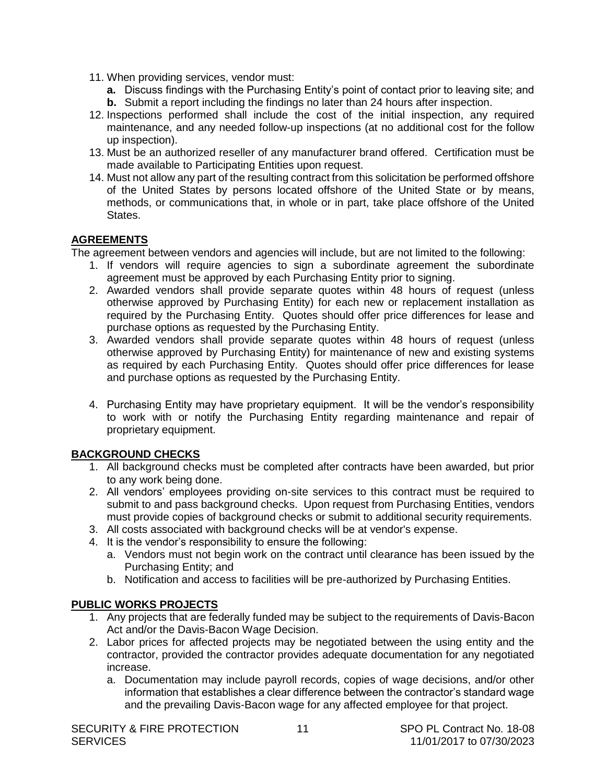- <span id="page-12-0"></span>11. When providing services, vendor must:
	- **a.** Discuss findings with the Purchasing Entity's point of contact prior to leaving site; and **b.** Submit a report including the findings no later than 24 hours after inspection.
- 12. Inspections performed shall include the cost of the initial inspection, any required maintenance, and any needed follow-up inspections (at no additional cost for the follow up inspection).
- 13. Must be an authorized reseller of any manufacturer brand offered. Certification must be made available to Participating Entities upon request.
- 14. Must not allow any part of the resulting contract from this solicitation be performed offshore of the United States by persons located offshore of the United State or by means, methods, or communications that, in whole or in part, take place offshore of the United States.

# **AGREEMENTS**

The agreement between vendors and agencies will include, but are not limited to the following:

- 1. If vendors will require agencies to sign a subordinate agreement the subordinate agreement must be approved by each Purchasing Entity prior to signing.
- 2. Awarded vendors shall provide separate quotes within 48 hours of request (unless otherwise approved by Purchasing Entity) for each new or replacement installation as required by the Purchasing Entity. Quotes should offer price differences for lease and purchase options as requested by the Purchasing Entity.
- 3. Awarded vendors shall provide separate quotes within 48 hours of request (unless otherwise approved by Purchasing Entity) for maintenance of new and existing systems as required by each Purchasing Entity. Quotes should offer price differences for lease and purchase options as requested by the Purchasing Entity.
- 4. Purchasing Entity may have proprietary equipment. It will be the vendor's responsibility to work with or notify the Purchasing Entity regarding maintenance and repair of proprietary equipment.

# **BACKGROUND CHECKS**

- 1. All background checks must be completed after contracts have been awarded, but prior to any work being done.
- 2. All vendors' employees providing on-site services to this contract must be required to submit to and pass background checks. Upon request from Purchasing Entities, vendors must provide copies of background checks or submit to additional security requirements.
- 3. All costs associated with background checks will be at vendor's expense.
- 4. It is the vendor's responsibility to ensure the following:
	- a. Vendors must not begin work on the contract until clearance has been issued by the Purchasing Entity; and
	- b. Notification and access to facilities will be pre-authorized by Purchasing Entities.

# **PUBLIC WORKS PROJECTS**

- 1. Any projects that are federally funded may be subject to the requirements of Davis-Bacon Act and/or the Davis-Bacon Wage Decision.
- 2. Labor prices for affected projects may be negotiated between the using entity and the contractor, provided the contractor provides adequate documentation for any negotiated increase.
	- a. Documentation may include payroll records, copies of wage decisions, and/or other information that establishes a clear difference between the contractor's standard wage and the prevailing Davis-Bacon wage for any affected employee for that project.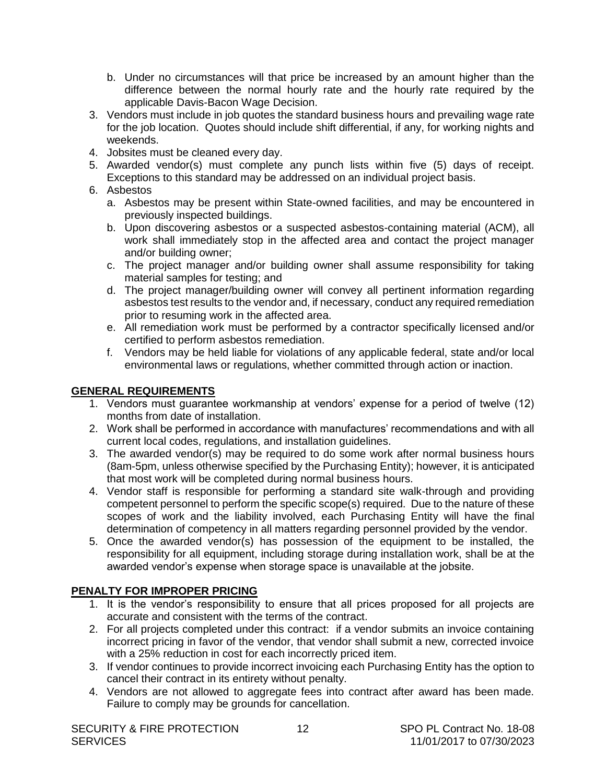- <span id="page-13-0"></span>b. Under no circumstances will that price be increased by an amount higher than the difference between the normal hourly rate and the hourly rate required by the applicable Davis-Bacon Wage Decision.
- 3. Vendors must include in job quotes the standard business hours and prevailing wage rate for the job location. Quotes should include shift differential, if any, for working nights and weekends.
- 4. Jobsites must be cleaned every day.
- 5. Awarded vendor(s) must complete any punch lists within five (5) days of receipt. Exceptions to this standard may be addressed on an individual project basis.
- 6. Asbestos
	- a. Asbestos may be present within State-owned facilities, and may be encountered in previously inspected buildings.
	- b. Upon discovering asbestos or a suspected asbestos-containing material (ACM), all work shall immediately stop in the affected area and contact the project manager and/or building owner;
	- c. The project manager and/or building owner shall assume responsibility for taking material samples for testing; and
	- d. The project manager/building owner will convey all pertinent information regarding asbestos test results to the vendor and, if necessary, conduct any required remediation prior to resuming work in the affected area.
	- e. All remediation work must be performed by a contractor specifically licensed and/or certified to perform asbestos remediation.
	- f. Vendors may be held liable for violations of any applicable federal, state and/or local environmental laws or regulations, whether committed through action or inaction.

# **GENERAL REQUIREMENTS**

- 1. Vendors must guarantee workmanship at vendors' expense for a period of twelve (12) months from date of installation.
- 2. Work shall be performed in accordance with manufactures' recommendations and with all current local codes, regulations, and installation guidelines.
- 3. The awarded vendor(s) may be required to do some work after normal business hours (8am-5pm, unless otherwise specified by the Purchasing Entity); however, it is anticipated that most work will be completed during normal business hours.
- 4. Vendor staff is responsible for performing a standard site walk-through and providing competent personnel to perform the specific scope(s) required. Due to the nature of these scopes of work and the liability involved, each Purchasing Entity will have the final determination of competency in all matters regarding personnel provided by the vendor.
- 5. Once the awarded vendor(s) has possession of the equipment to be installed, the responsibility for all equipment, including storage during installation work, shall be at the awarded vendor's expense when storage space is unavailable at the jobsite.

# **PENALTY FOR IMPROPER PRICING**

- 1. It is the vendor's responsibility to ensure that all prices proposed for all projects are accurate and consistent with the terms of the contract.
- 2. For all projects completed under this contract: if a vendor submits an invoice containing incorrect pricing in favor of the vendor, that vendor shall submit a new, corrected invoice with a 25% reduction in cost for each incorrectly priced item.
- 3. If vendor continues to provide incorrect invoicing each Purchasing Entity has the option to cancel their contract in its entirety without penalty.
- 4. Vendors are not allowed to aggregate fees into contract after award has been made. Failure to comply may be grounds for cancellation.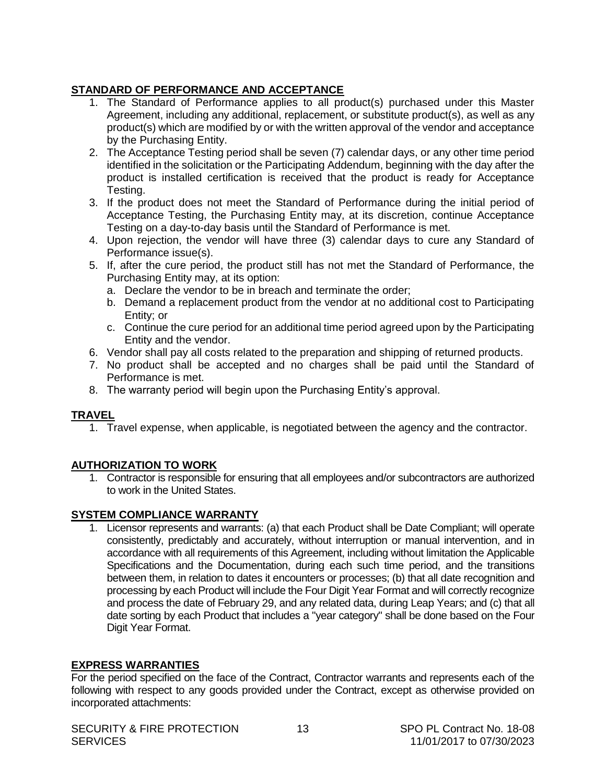# <span id="page-14-0"></span>**STANDARD OF PERFORMANCE AND ACCEPTANCE**

- 1. The Standard of Performance applies to all product(s) purchased under this Master Agreement, including any additional, replacement, or substitute product(s), as well as any product(s) which are modified by or with the written approval of the vendor and acceptance by the Purchasing Entity.
- 2. The Acceptance Testing period shall be seven (7) calendar days, or any other time period identified in the solicitation or the Participating Addendum, beginning with the day after the product is installed certification is received that the product is ready for Acceptance Testing.
- 3. If the product does not meet the Standard of Performance during the initial period of Acceptance Testing, the Purchasing Entity may, at its discretion, continue Acceptance Testing on a day-to-day basis until the Standard of Performance is met.
- 4. Upon rejection, the vendor will have three (3) calendar days to cure any Standard of Performance issue(s).
- 5. If, after the cure period, the product still has not met the Standard of Performance, the Purchasing Entity may, at its option:
	- a. Declare the vendor to be in breach and terminate the order;
	- b. Demand a replacement product from the vendor at no additional cost to Participating Entity; or
	- c. Continue the cure period for an additional time period agreed upon by the Participating Entity and the vendor.
- 6. Vendor shall pay all costs related to the preparation and shipping of returned products.
- 7. No product shall be accepted and no charges shall be paid until the Standard of Performance is met.
- 8. The warranty period will begin upon the Purchasing Entity's approval.

# **TRAVEL**

1. Travel expense, when applicable, is negotiated between the agency and the contractor.

# **AUTHORIZATION TO WORK**

1. Contractor is responsible for ensuring that all employees and/or subcontractors are authorized to work in the United States.

# **SYSTEM COMPLIANCE WARRANTY**

1. Licensor represents and warrants: (a) that each Product shall be Date Compliant; will operate consistently, predictably and accurately, without interruption or manual intervention, and in accordance with all requirements of this Agreement, including without limitation the Applicable Specifications and the Documentation, during each such time period, and the transitions between them, in relation to dates it encounters or processes; (b) that all date recognition and processing by each Product will include the Four Digit Year Format and will correctly recognize and process the date of February 29, and any related data, during Leap Years; and (c) that all date sorting by each Product that includes a "year category" shall be done based on the Four Digit Year Format.

# **EXPRESS WARRANTIES**

For the period specified on the face of the Contract, Contractor warrants and represents each of the following with respect to any goods provided under the Contract, except as otherwise provided on incorporated attachments: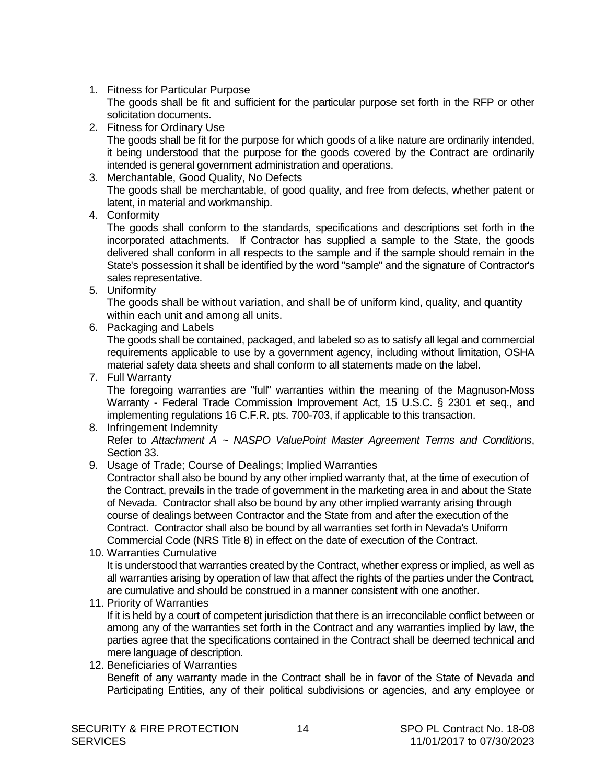1. Fitness for Particular Purpose The goods shall be fit and sufficient for the particular purpose set forth in the RFP or other solicitation documents.

2. Fitness for Ordinary Use

The goods shall be fit for the purpose for which goods of a like nature are ordinarily intended, it being understood that the purpose for the goods covered by the Contract are ordinarily intended is general government administration and operations.

- 3. Merchantable, Good Quality, No Defects The goods shall be merchantable, of good quality, and free from defects, whether patent or latent, in material and workmanship.
- 4. Conformity

The goods shall conform to the standards, specifications and descriptions set forth in the incorporated attachments. If Contractor has supplied a sample to the State, the goods delivered shall conform in all respects to the sample and if the sample should remain in the State's possession it shall be identified by the word "sample" and the signature of Contractor's sales representative.

5. Uniformity

The goods shall be without variation, and shall be of uniform kind, quality, and quantity within each unit and among all units.

6. Packaging and Labels

The goods shall be contained, packaged, and labeled so as to satisfy all legal and commercial requirements applicable to use by a government agency, including without limitation, OSHA material safety data sheets and shall conform to all statements made on the label.

7. Full Warranty

The foregoing warranties are "full" warranties within the meaning of the Magnuson-Moss Warranty - Federal Trade Commission Improvement Act, 15 U.S.C. § 2301 et seq., and implementing regulations 16 C.F.R. pts. 700-703, if applicable to this transaction.

#### 8. Infringement Indemnity Refer to *Attachment A ~ NASPO ValuePoint Master Agreement Terms and Conditions*, Section 33.

9. Usage of Trade; Course of Dealings; Implied Warranties

Contractor shall also be bound by any other implied warranty that, at the time of execution of the Contract, prevails in the trade of government in the marketing area in and about the State of Nevada. Contractor shall also be bound by any other implied warranty arising through course of dealings between Contractor and the State from and after the execution of the Contract. Contractor shall also be bound by all warranties set forth in Nevada's Uniform Commercial Code (NRS Title 8) in effect on the date of execution of the Contract.

10. Warranties Cumulative

It is understood that warranties created by the Contract, whether express or implied, as well as all warranties arising by operation of law that affect the rights of the parties under the Contract, are cumulative and should be construed in a manner consistent with one another.

11. Priority of Warranties

If it is held by a court of competent jurisdiction that there is an irreconcilable conflict between or among any of the warranties set forth in the Contract and any warranties implied by law, the parties agree that the specifications contained in the Contract shall be deemed technical and mere language of description.

12. Beneficiaries of Warranties Benefit of any warranty made in the Contract shall be in favor of the State of Nevada and Participating Entities, any of their political subdivisions or agencies, and any employee or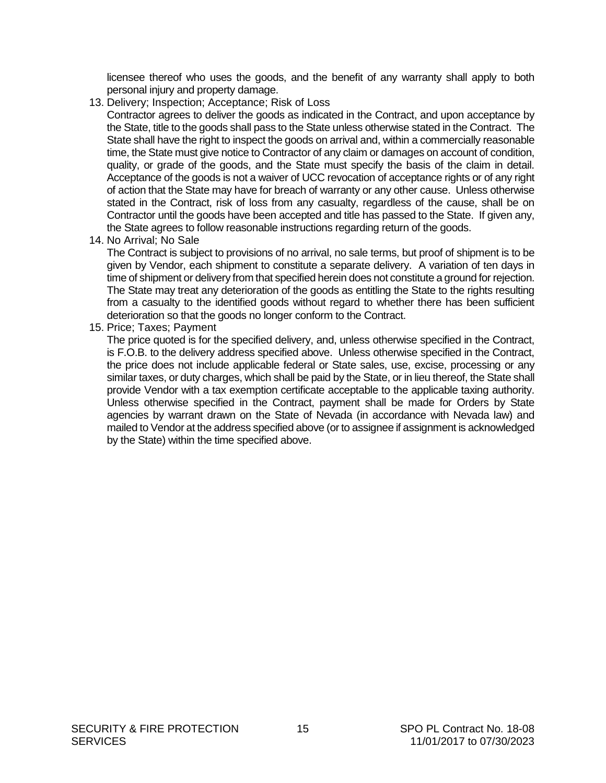licensee thereof who uses the goods, and the benefit of any warranty shall apply to both personal injury and property damage.

- 13. Delivery; Inspection; Acceptance; Risk of Loss
	- Contractor agrees to deliver the goods as indicated in the Contract, and upon acceptance by the State, title to the goods shall pass to the State unless otherwise stated in the Contract. The State shall have the right to inspect the goods on arrival and, within a commercially reasonable time, the State must give notice to Contractor of any claim or damages on account of condition, quality, or grade of the goods, and the State must specify the basis of the claim in detail. Acceptance of the goods is not a waiver of UCC revocation of acceptance rights or of any right of action that the State may have for breach of warranty or any other cause. Unless otherwise stated in the Contract, risk of loss from any casualty, regardless of the cause, shall be on Contractor until the goods have been accepted and title has passed to the State. If given any, the State agrees to follow reasonable instructions regarding return of the goods.
- 14. No Arrival; No Sale

The Contract is subject to provisions of no arrival, no sale terms, but proof of shipment is to be given by Vendor, each shipment to constitute a separate delivery. A variation of ten days in time of shipment or delivery from that specified herein does not constitute a ground for rejection. The State may treat any deterioration of the goods as entitling the State to the rights resulting from a casualty to the identified goods without regard to whether there has been sufficient deterioration so that the goods no longer conform to the Contract.

15. Price; Taxes; Payment

The price quoted is for the specified delivery, and, unless otherwise specified in the Contract, is F.O.B. to the delivery address specified above. Unless otherwise specified in the Contract, the price does not include applicable federal or State sales, use, excise, processing or any similar taxes, or duty charges, which shall be paid by the State, or in lieu thereof, the State shall provide Vendor with a tax exemption certificate acceptable to the applicable taxing authority. Unless otherwise specified in the Contract, payment shall be made for Orders by State agencies by warrant drawn on the State of Nevada (in accordance with Nevada law) and mailed to Vendor at the address specified above (or to assignee if assignment is acknowledged by the State) within the time specified above.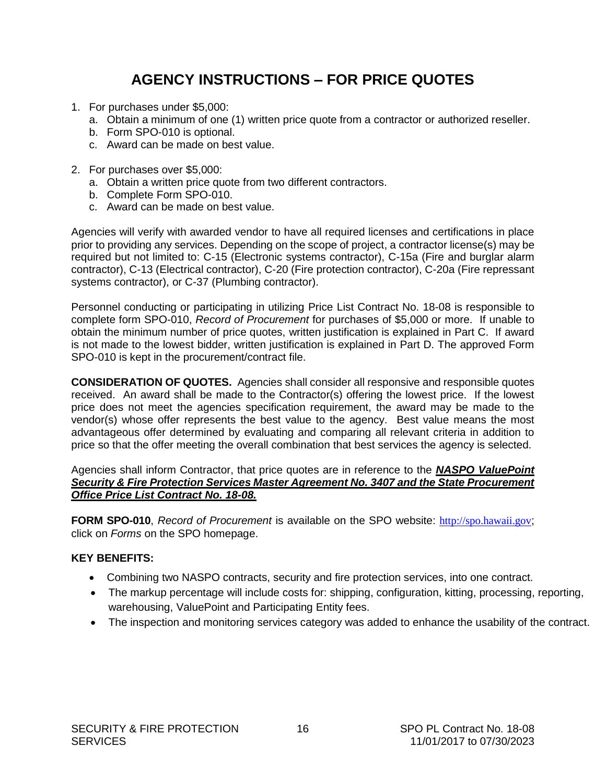# **AGENCY INSTRUCTIONS – FOR PRICE QUOTES**

- <span id="page-17-0"></span>1. For purchases under \$5,000:
	- a. Obtain a minimum of one (1) written price quote from a contractor or authorized reseller.
	- b. Form SPO-010 is optional.
	- c. Award can be made on best value.
- 2. For purchases over \$5,000:
	- a. Obtain a written price quote from two different contractors.
	- b. Complete Form SPO-010.
	- c. Award can be made on best value.

Agencies will verify with awarded vendor to have all required licenses and certifications in place prior to providing any services. Depending on the scope of project, a contractor license(s) may be required but not limited to: C-15 (Electronic systems contractor), C-15a (Fire and burglar alarm contractor), C-13 (Electrical contractor), C-20 (Fire protection contractor), C-20a (Fire repressant systems contractor), or C-37 (Plumbing contractor).

Personnel conducting or participating in utilizing Price List Contract No. 18-08 is responsible to complete form SPO-010, *Record of Procurement* for purchases of \$5,000 or more.If unable to obtain the minimum number of price quotes, written justification is explained in Part C. If award is not made to the lowest bidder, written justification is explained in Part D. The approved Form SPO-010 is kept in the procurement/contract file.

**CONSIDERATION OF QUOTES.** Agencies shall consider all responsive and responsible quotes received. An award shall be made to the Contractor(s) offering the lowest price. If the lowest price does not meet the agencies specification requirement, the award may be made to the vendor(s) whose offer represents the best value to the agency. Best value means the most advantageous offer determined by evaluating and comparing all relevant criteria in addition to price so that the offer meeting the overall combination that best services the agency is selected.

Agencies shall inform Contractor, that price quotes are in reference to the *NASPO ValuePoint Security & Fire Protection Services Master Agreement No. 3407 and the State Procurement Office Price List Contract No. 18-08.*

**FORM SPO-010**, *Record of Procurement* is available on the SPO website: [http://spo.hawaii.gov](http://spo.hawaii.gov/); click on *Forms* on the SPO homepage.

# **KEY BENEFITS:**

- Combining two NASPO contracts, security and fire protection services, into one contract.
- The markup percentage will include costs for: shipping, configuration, kitting, processing, reporting, warehousing, ValuePoint and Participating Entity fees.
- The inspection and monitoring services category was added to enhance the usability of the contract.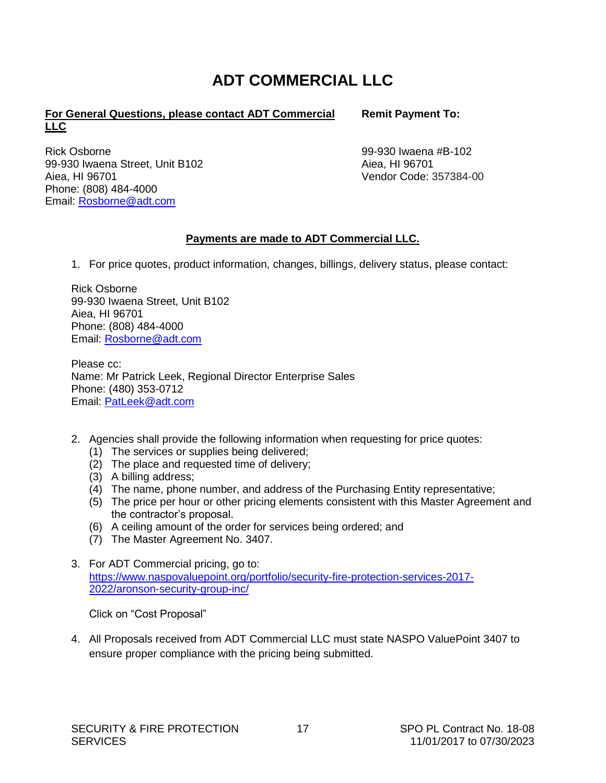# **ADT COMMERCIAL LLC**

### <span id="page-18-0"></span>**For General Questions, please contact ADT Commercial LLC**

Rick Osborne 99-930 Iwaena Street, Unit B102 Aiea, HI 96701 Phone: (808) 484-4000 Email: [Rosborne@adt.com](mailto:Rosborne@adt.com)

**Remit Payment To:**

99-930 Iwaena #B-102 Aiea, HI 96701 Vendor Code: 357384-00

# **Payments are made to ADT Commercial LLC.**

1. For price quotes, product information, changes, billings, delivery status, please contact:

Rick Osborne 99-930 Iwaena Street, Unit B102 Aiea, HI 96701 Phone: (808) 484-4000 Email: [Rosborne@adt.com](mailto:Rosborne@adt.com)

Please cc: Name: Mr Patrick Leek, Regional Director Enterprise Sales Phone: (480) 353-0712 Email: [PatLeek@adt.com](mailto:PatLeek@adt.com)

- 2. Agencies shall provide the following information when requesting for price quotes:
	- (1) The services or supplies being delivered;
	- (2) The place and requested time of delivery;
	- (3) A billing address;
	- (4) The name, phone number, and address of the Purchasing Entity representative;
	- (5) The price per hour or other pricing elements consistent with this Master Agreement and the contractor's proposal.
	- (6) A ceiling amount of the order for services being ordered; and
	- (7) The Master Agreement No. 3407.
- 3. For ADT Commercial pricing, go to: [https://www.naspovaluepoint.org/portfolio/security-fire-protection-services-2017-](https://www.naspovaluepoint.org/portfolio/security-fire-protection-services-2017-2022/aronson-security-group-inc/) [2022/aronson-security-group-inc/](https://www.naspovaluepoint.org/portfolio/security-fire-protection-services-2017-2022/aronson-security-group-inc/)

Click on "Cost Proposal"

4. All Proposals received from ADT Commercial LLC must state NASPO ValuePoint 3407 to ensure proper compliance with the pricing being submitted.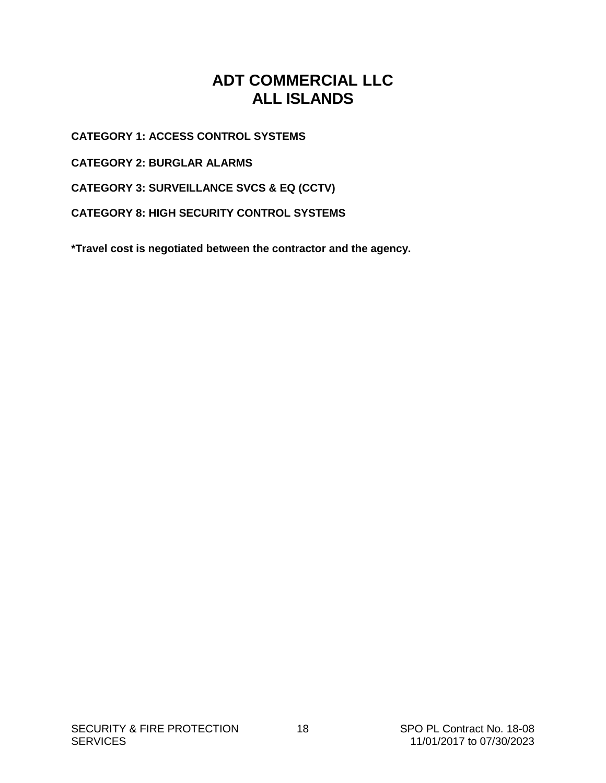# **ADT COMMERCIAL LLC ALL ISLANDS**

<span id="page-19-0"></span>**CATEGORY 1: ACCESS CONTROL SYSTEMS**

**CATEGORY 2: BURGLAR ALARMS**

**CATEGORY 3: SURVEILLANCE SVCS & EQ (CCTV)**

**CATEGORY 8: HIGH SECURITY CONTROL SYSTEMS**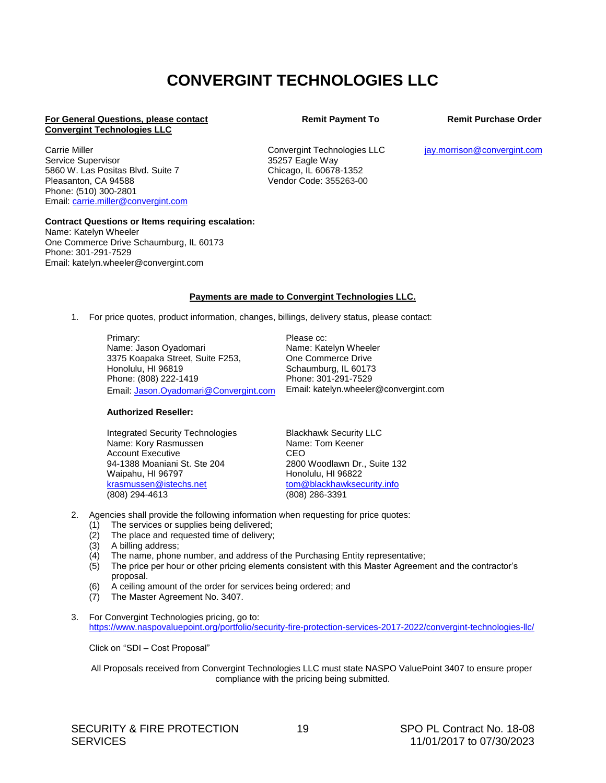# **CONVERGINT TECHNOLOGIES LLC**

#### **For General Questions, please contact Convergint Technologies LLC**

Carrie Miller Service Supervisor 5860 W. Las Positas Blvd. Suite 7 Pleasanton, CA 94588 Phone: (510) 300-2801 Email: [carrie.miller@convergint.com](mailto:carrie.miller@convergint.com) Convergint Technologies LLC 35257 Eagle Way

Chicago, IL 60678-1352 Vendor Code: 355263-00

#### **Remit Payment To Remit Purchase Order**

[jay.morrison@convergint.com](mailto:jay.morrison@convergint.com)

#### **Contract Questions or Items requiring escalation:**

Name: Katelyn Wheeler One Commerce Drive Schaumburg, IL 60173 Phone: 301-291-7529 Email: katelyn.wheeler@convergint.com

#### **Payments are made to Convergint Technologies LLC.**

1. For price quotes, product information, changes, billings, delivery status, please contact:

Primary: Name: Jason Oyadomari 3375 Koapaka Street, Suite F253, Honolulu, HI 96819 Phone: (808) 222-1419 Email: [Jason.Oyadomari@Convergint.com](mailto:Jason.Oyadomari@Convergint.com) Please cc: Name: Katelyn Wheeler One Commerce Drive Schaumburg, IL 60173 Phone: 301-291-7529 Email: katelyn.wheeler@convergint.com

#### **Authorized Reseller:**

Integrated Security Technologies Name: Kory Rasmussen Account Executive 94-1388 Moaniani St. Ste 204 Waipahu, HI 96797 [krasmussen@istechs.net](mailto:krasmussen@istechs.net) (808) 294-4613

Blackhawk Security LLC Name: Tom Keener CEO 2800 Woodlawn Dr., Suite 132 Honolulu, HI 96822 [tom@blackhawksecurity.info](mailto:tom@blackhawksecurity.info) (808) 286-3391

- 2. Agencies shall provide the following information when requesting for price quotes:
	- (1) The services or supplies being delivered;
	- (2) The place and requested time of delivery;
	- (3) A billing address;
	- (4) The name, phone number, and address of the Purchasing Entity representative;
	- (5) The price per hour or other pricing elements consistent with this Master Agreement and the contractor's proposal.
	- (6) A ceiling amount of the order for services being ordered; and
	- (7) The Master Agreement No. 3407.
- 3. For Convergint Technologies pricing, go to: <https://www.naspovaluepoint.org/portfolio/security-fire-protection-services-2017-2022/convergint-technologies-llc/>

Click on "SDI – Cost Proposal"

All Proposals received from Convergint Technologies LLC must state NASPO ValuePoint 3407 to ensure proper compliance with the pricing being submitted.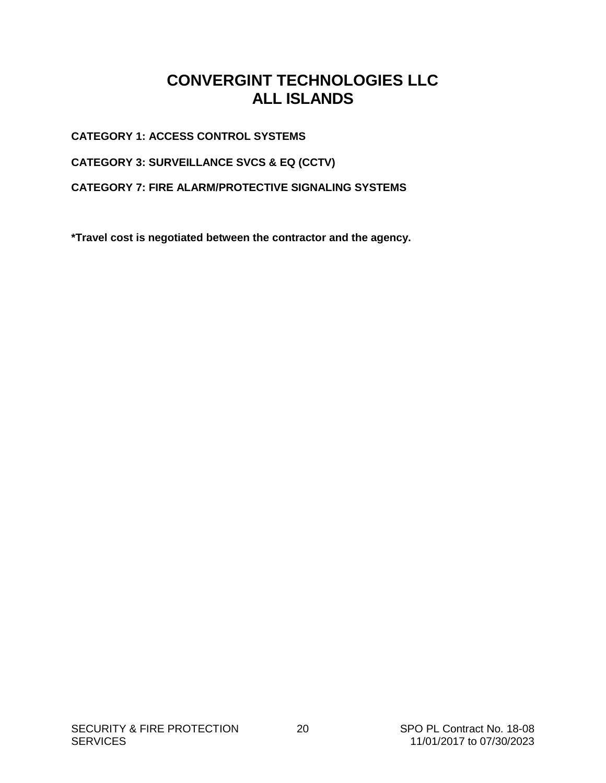# **CONVERGINT TECHNOLOGIES LLC ALL ISLANDS**

<span id="page-21-0"></span>**CATEGORY 1: ACCESS CONTROL SYSTEMS**

**CATEGORY 3: SURVEILLANCE SVCS & EQ (CCTV)**

**CATEGORY 7: FIRE ALARM/PROTECTIVE SIGNALING SYSTEMS**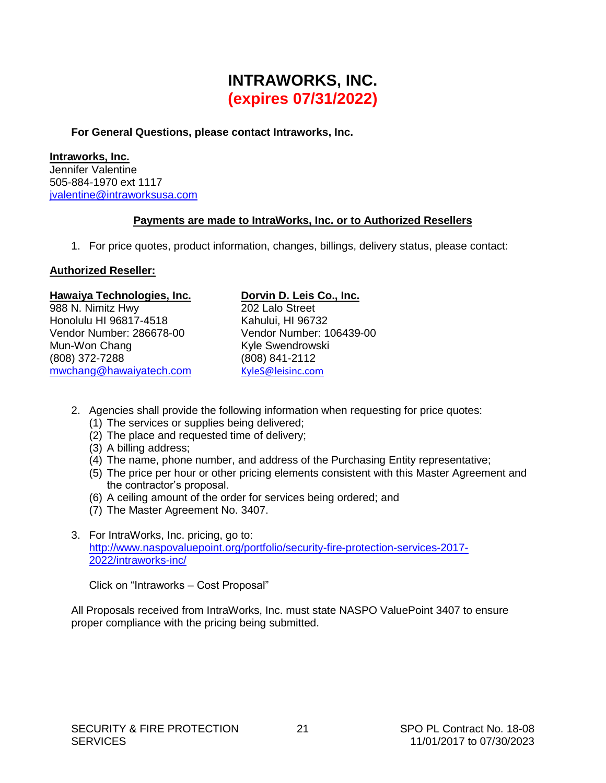# **INTRAWORKS, INC. (expires 07/31/2022)**

#### <span id="page-22-0"></span>**For General Questions, please contact Intraworks, Inc.**

### **Intraworks, Inc.**

Jennifer Valentine 505-884-1970 ext 1117 [jvalentine@intraworksusa.com](mailto:jvalentine@intraworksusa.com)

### **Payments are made to IntraWorks, Inc. or to Authorized Resellers**

1. For price quotes, product information, changes, billings, delivery status, please contact:

### **Authorized Reseller:**

#### Hawaiya Technologies, Inc. **Dorvin D. Leis Co., Inc.**

988 N. Nimitz Hwy Honolulu HI 96817-4518 Vendor Number: 286678-00 Mun-Won Chang (808) 372-7288 [mwchang@hawaiyatech.com](mailto:mwchang@hawaiyatech.com)

202 Lalo Street Kahului, HI 96732 Vendor Number: 106439-00 Kyle Swendrowski (808) 841-2112 [KyleS@leisinc.com](mailto:KyleS@leisinc.com)

- 2. Agencies shall provide the following information when requesting for price quotes:
	- (1) The services or supplies being delivered;
	- (2) The place and requested time of delivery;
	- (3) A billing address;
	- (4) The name, phone number, and address of the Purchasing Entity representative;
	- (5) The price per hour or other pricing elements consistent with this Master Agreement and the contractor's proposal.
	- (6) A ceiling amount of the order for services being ordered; and
	- (7) The Master Agreement No. 3407.
- 3. For IntraWorks, Inc. pricing, go to: [http://www.naspovaluepoint.org/portfolio/security-fire-protection-services-2017-](http://www.naspovaluepoint.org/portfolio/security-fire-protection-services-2017-2022/intraworks-inc/) [2022/intraworks-inc/](http://www.naspovaluepoint.org/portfolio/security-fire-protection-services-2017-2022/intraworks-inc/)

Click on "Intraworks – Cost Proposal"

All Proposals received from IntraWorks, Inc. must state NASPO ValuePoint 3407 to ensure proper compliance with the pricing being submitted.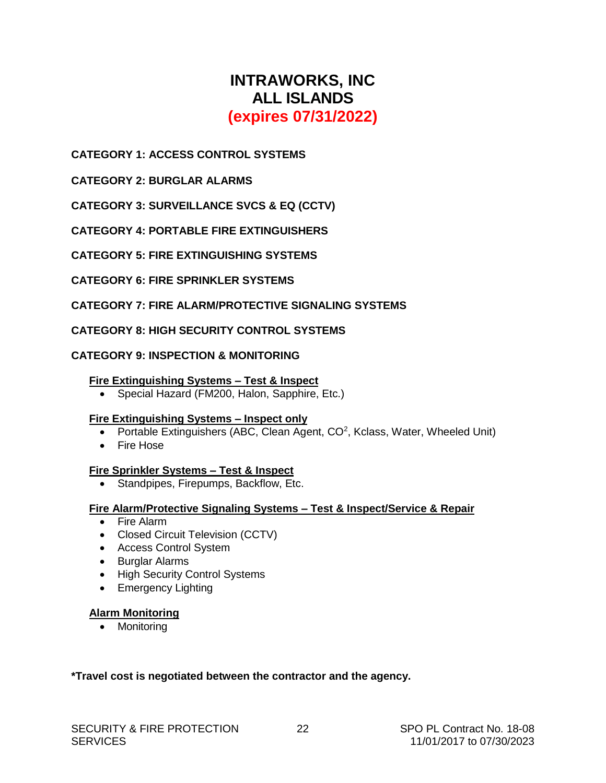# **INTRAWORKS, INC ALL ISLANDS (expires 07/31/2022)**

# <span id="page-23-0"></span>**CATEGORY 1: ACCESS CONTROL SYSTEMS**

**CATEGORY 2: BURGLAR ALARMS**

**CATEGORY 3: SURVEILLANCE SVCS & EQ (CCTV)**

**CATEGORY 4: PORTABLE FIRE EXTINGUISHERS**

**CATEGORY 5: FIRE EXTINGUISHING SYSTEMS**

**CATEGORY 6: FIRE SPRINKLER SYSTEMS**

### **CATEGORY 7: FIRE ALARM/PROTECTIVE SIGNALING SYSTEMS**

#### **CATEGORY 8: HIGH SECURITY CONTROL SYSTEMS**

#### **CATEGORY 9: INSPECTION & MONITORING**

#### **Fire Extinguishing Systems – Test & Inspect**

• Special Hazard (FM200, Halon, Sapphire, Etc.)

#### **Fire Extinguishing Systems – Inspect only**

- Portable Extinguishers (ABC, Clean Agent,  $CO<sup>2</sup>$ , Kclass, Water, Wheeled Unit)
- Fire Hose

#### **Fire Sprinkler Systems – Test & Inspect**

• Standpipes, Firepumps, Backflow, Etc.

#### **Fire Alarm/Protective Signaling Systems – Test & Inspect/Service & Repair**

- Fire Alarm
- Closed Circuit Television (CCTV)
- Access Control System
- Burglar Alarms
- High Security Control Systems
- Emergency Lighting

#### **Alarm Monitoring**

• Monitoring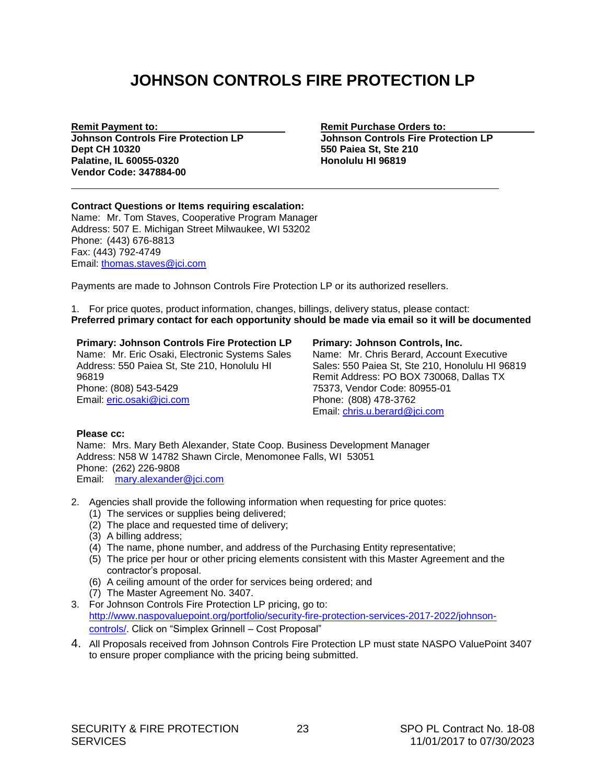# **JOHNSON CONTROLS FIRE PROTECTION LP**

**Johnson Controls Fire Protection LP Johnson Controls Fire Protection LP Dept CH 10320 550 Paiea St, Ste 210 Palatine, IL 60055-0320 Honolulu HI 96819 Vendor Code: 347884-00**

<span id="page-24-0"></span>**Remit Payment to: Remit Purchase Orders to: Remit Purchase Orders to: Remit Purchase Orders to: Remit Purchase Orders to: Remit Purchase Orders to: Remit Purchase Orders to: Remit Purchase Orders to: Remit** 

#### **Contract Questions or Items requiring escalation:** Name: Mr. Tom Staves, Cooperative Program Manager Address: 507 E. Michigan Street Milwaukee, WI 53202 Phone: (443) 676-8813 Fax: (443) 792-4749 Email: [thomas.staves@jci.com](mailto:thomas.staves@jci.com)

Payments are made to Johnson Controls Fire Protection LP or its authorized resellers.

1. For price quotes, product information, changes, billings, delivery status, please contact: **Preferred primary contact for each opportunity should be made via email so it will be documented**

#### **Primary: Johnson Controls Fire Protection LP**

Name: Mr. Eric Osaki, Electronic Systems Sales Address: 550 Paiea St, Ste 210, Honolulu HI 96819 Phone: (808) 543-5429 Email: eric.osaki@jci.com

#### **Primary: Johnson Controls, Inc.**

Name: Mr. Chris Berard, Account Executive Sales: 550 Paiea St, Ste 210, Honolulu HI 96819 Remit Address: PO BOX 730068, Dallas TX 75373, Vendor Code: 80955-01 Phone: (808) 478-3762 Email: chris.u.berard@jci.com

#### **Please cc:**

Name: Mrs. Mary Beth Alexander, State Coop. Business Development Manager Address: N58 W 14782 Shawn Circle, Menomonee Falls, WI 53051 Phone: (262) 226-9808 Email: mary.alexander@jci.com

- 2. Agencies shall provide the following information when requesting for price quotes:
	- (1) The services or supplies being delivered;
	- (2) The place and requested time of delivery;
	- (3) A billing address;
	- (4) The name, phone number, and address of the Purchasing Entity representative;
	- (5) The price per hour or other pricing elements consistent with this Master Agreement and the contractor's proposal.
	- (6) A ceiling amount of the order for services being ordered; and
	- (7) The Master Agreement No. 3407.
- 3. For Johnson Controls Fire Protection LP pricing, go to: [http://www.naspovaluepoint.org/portfolio/security-fire-protection-services-2017-2022/johnson](http://www.naspovaluepoint.org/portfolio/security-fire-protection-services-2017-2022/johnson-controls/)[controls/.](http://www.naspovaluepoint.org/portfolio/security-fire-protection-services-2017-2022/johnson-controls/) Click on "Simplex Grinnell – Cost Proposal"
- 4. All Proposals received from Johnson Controls Fire Protection LP must state NASPO ValuePoint 3407 to ensure proper compliance with the pricing being submitted.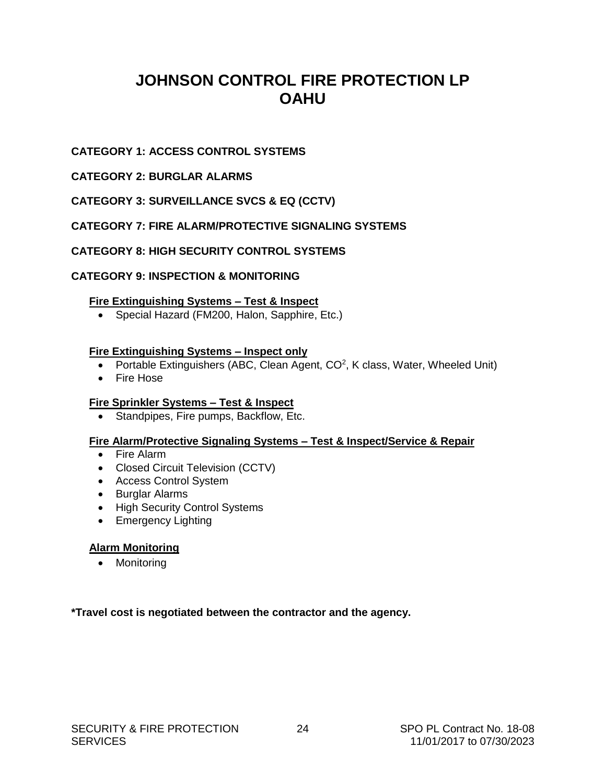# **JOHNSON CONTROL FIRE PROTECTION LP OAHU**

# **CATEGORY 1: ACCESS CONTROL SYSTEMS**

# **CATEGORY 2: BURGLAR ALARMS**

# **CATEGORY 3: SURVEILLANCE SVCS & EQ (CCTV)**

# **CATEGORY 7: FIRE ALARM/PROTECTIVE SIGNALING SYSTEMS**

# **CATEGORY 8: HIGH SECURITY CONTROL SYSTEMS**

### **CATEGORY 9: INSPECTION & MONITORING**

#### **Fire Extinguishing Systems – Test & Inspect**

• Special Hazard (FM200, Halon, Sapphire, Etc.)

### **Fire Extinguishing Systems – Inspect only**

- Portable Extinguishers (ABC, Clean Agent,  $CO<sup>2</sup>$ , K class, Water, Wheeled Unit)
- Fire Hose

# **Fire Sprinkler Systems – Test & Inspect**

• Standpipes, Fire pumps, Backflow, Etc.

#### **Fire Alarm/Protective Signaling Systems – Test & Inspect/Service & Repair**

- Fire Alarm
- Closed Circuit Television (CCTV)
- Access Control System
- Burglar Alarms
- High Security Control Systems
- Emergency Lighting

#### **Alarm Monitoring**

• Monitoring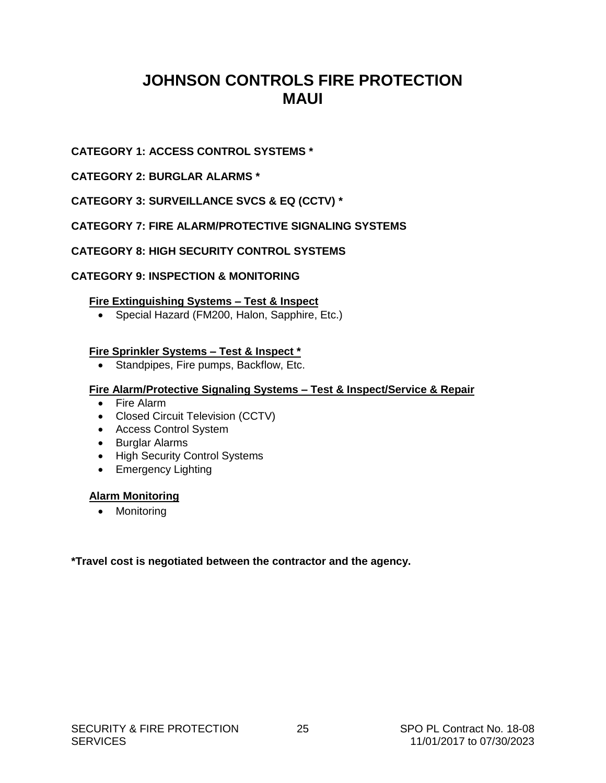# <span id="page-26-0"></span>**JOHNSON CONTROLS FIRE PROTECTION MAUI**

# **CATEGORY 1: ACCESS CONTROL SYSTEMS \***

# **CATEGORY 2: BURGLAR ALARMS \***

# **CATEGORY 3: SURVEILLANCE SVCS & EQ (CCTV) \***

# **CATEGORY 7: FIRE ALARM/PROTECTIVE SIGNALING SYSTEMS**

# **CATEGORY 8: HIGH SECURITY CONTROL SYSTEMS**

# **CATEGORY 9: INSPECTION & MONITORING**

### **Fire Extinguishing Systems – Test & Inspect**

Special Hazard (FM200, Halon, Sapphire, Etc.)

### **Fire Sprinkler Systems – Test & Inspect \***

• Standpipes, Fire pumps, Backflow, Etc.

### **Fire Alarm/Protective Signaling Systems – Test & Inspect/Service & Repair**

- Fire Alarm
- Closed Circuit Television (CCTV)
- Access Control System
- Burglar Alarms
- High Security Control Systems
- Emergency Lighting

#### **Alarm Monitoring**

• Monitoring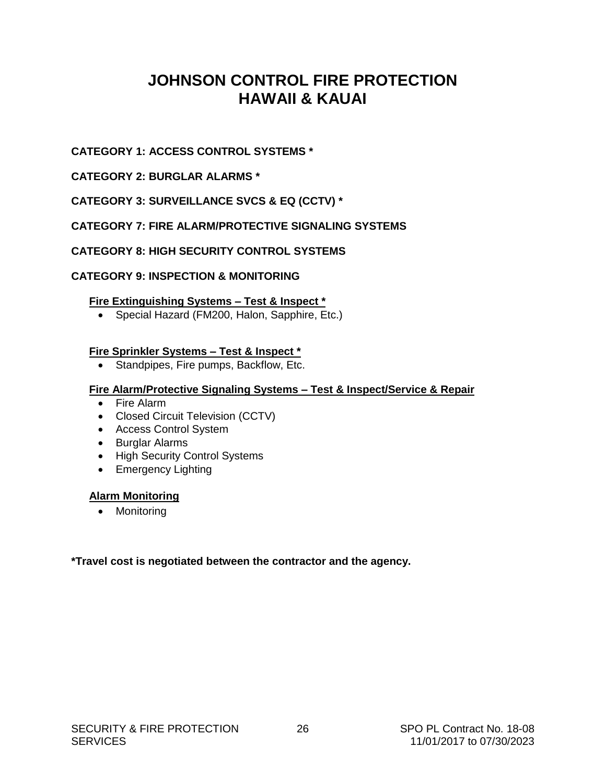# **JOHNSON CONTROL FIRE PROTECTION HAWAII & KAUAI**

# <span id="page-27-0"></span>**CATEGORY 1: ACCESS CONTROL SYSTEMS \***

# **CATEGORY 2: BURGLAR ALARMS \***

# **CATEGORY 3: SURVEILLANCE SVCS & EQ (CCTV) \***

# **CATEGORY 7: FIRE ALARM/PROTECTIVE SIGNALING SYSTEMS**

# **CATEGORY 8: HIGH SECURITY CONTROL SYSTEMS**

# **CATEGORY 9: INSPECTION & MONITORING**

# **Fire Extinguishing Systems – Test & Inspect \***

Special Hazard (FM200, Halon, Sapphire, Etc.)

# **Fire Sprinkler Systems – Test & Inspect \***

• Standpipes, Fire pumps, Backflow, Etc.

### **Fire Alarm/Protective Signaling Systems – Test & Inspect/Service & Repair**

- Fire Alarm
- Closed Circuit Television (CCTV)
- Access Control System
- Burglar Alarms
- High Security Control Systems
- Emergency Lighting

# **Alarm Monitoring**

• Monitoring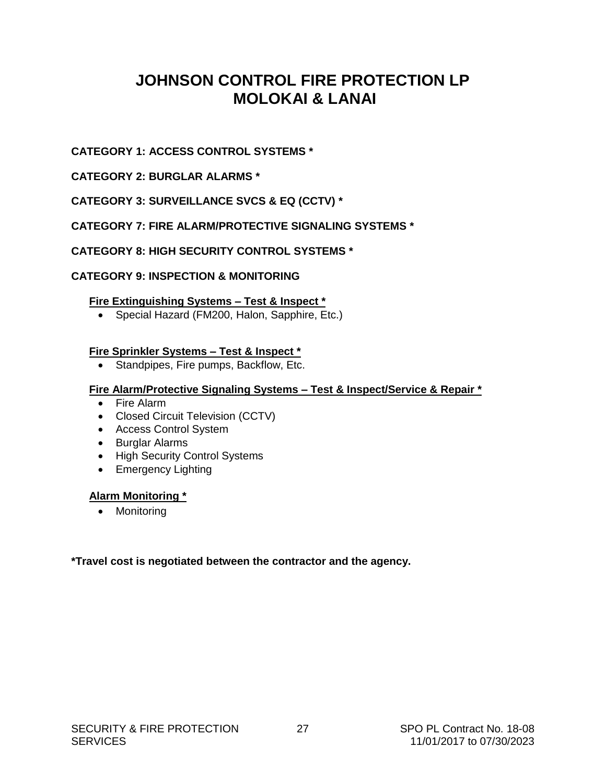# <span id="page-28-0"></span>**JOHNSON CONTROL FIRE PROTECTION LP MOLOKAI & LANAI**

# **CATEGORY 1: ACCESS CONTROL SYSTEMS \***

# **CATEGORY 2: BURGLAR ALARMS \***

# **CATEGORY 3: SURVEILLANCE SVCS & EQ (CCTV) \***

# **CATEGORY 7: FIRE ALARM/PROTECTIVE SIGNALING SYSTEMS \***

# **CATEGORY 8: HIGH SECURITY CONTROL SYSTEMS \***

# **CATEGORY 9: INSPECTION & MONITORING**

# **Fire Extinguishing Systems – Test & Inspect \***

Special Hazard (FM200, Halon, Sapphire, Etc.)

# **Fire Sprinkler Systems – Test & Inspect \***

• Standpipes, Fire pumps, Backflow, Etc.

# **Fire Alarm/Protective Signaling Systems – Test & Inspect/Service & Repair \***

- Fire Alarm
- Closed Circuit Television (CCTV)
- Access Control System
- Burglar Alarms
- High Security Control Systems
- Emergency Lighting

# **Alarm Monitoring \***

• Monitoring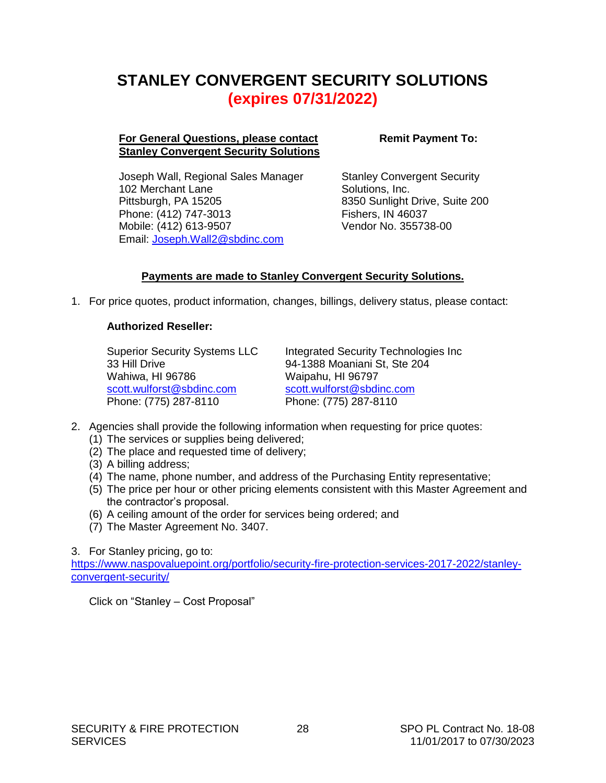# <span id="page-29-0"></span>**STANLEY CONVERGENT SECURITY SOLUTIONS (expires 07/31/2022)**

#### **For General Questions, please contact Stanley Convergent Security Solutions**

Joseph Wall, Regional Sales Manager 102 Merchant Lane Pittsburgh, PA 15205 Phone: (412) 747-3013 Mobile: (412) 613-9507 Email: [Joseph.Wall2@sbdinc.com](mailto:Joseph.Wall2@sbdinc.com)

**Remit Payment To:**

Stanley Convergent Security Solutions, Inc. 8350 Sunlight Drive, Suite 200 Fishers, IN 46037 Vendor No. 355738-00

# **Payments are made to Stanley Convergent Security Solutions.**

1. For price quotes, product information, changes, billings, delivery status, please contact:

### **Authorized Reseller:**

Superior Security Systems LLC 33 Hill Drive Wahiwa, HI 96786 [scott.wulforst@sbdinc.com](mailto:Kwasson@superiorsecurity.net) Phone: (775) 287-8110

Integrated Security Technologies Inc 94-1388 Moaniani St, Ste 204 Waipahu, HI 96797 [scott.wulforst@sbdinc.com](mailto:Kwasson@superiorsecurity.net) Phone: (775) 287-8110

- 2. Agencies shall provide the following information when requesting for price quotes:
	- (1) The services or supplies being delivered;
	- (2) The place and requested time of delivery;
	- (3) A billing address;
	- (4) The name, phone number, and address of the Purchasing Entity representative;
	- (5) The price per hour or other pricing elements consistent with this Master Agreement and the contractor's proposal.
	- (6) A ceiling amount of the order for services being ordered; and
	- (7) The Master Agreement No. 3407.

3. For Stanley pricing, go to:

[https://www.naspovaluepoint.org/portfolio/security-fire-protection-services-2017-2022/stanley](https://www.naspovaluepoint.org/portfolio/security-fire-protection-services-2017-2022/stanley-convergent-security/)[convergent-security/](https://www.naspovaluepoint.org/portfolio/security-fire-protection-services-2017-2022/stanley-convergent-security/)

Click on "Stanley – Cost Proposal"